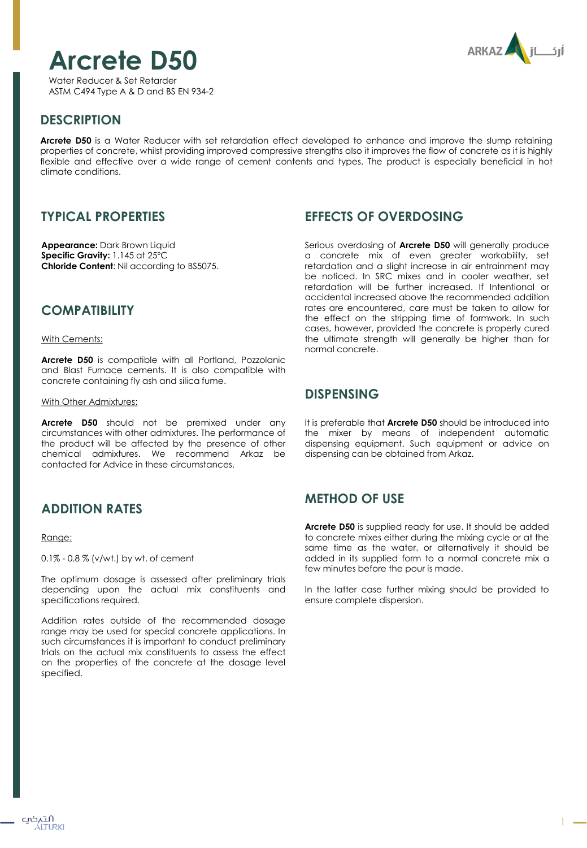# **Arcrete D50**



Water Reducer & Set Retarder ASTM C494 Type A & D and BS EN 934-2

# **DESCRIPTION**

**Arcrete D50** is a Water Reducer with set retardation effect developed to enhance and improve the slump retaining properties of concrete, whilst providing improved compressive strengths also it improves the flow of concrete as it is highly flexible and effective over a wide range of cement contents and types. The product is especially beneficial in hot climate conditions.

## **TYPICAL PROPERTIES**

**Appearance:** Dark Brown Liquid **Specific Gravity:** 1.145 at 25ºC **Chloride Content**: Nil according to BS5075.

#### **COMPATIBILITY**

#### With Cements:

**Arcrete D50** is compatible with all Portland, Pozzolanic and Blast Furnace cements. It is also compatible with concrete containing fly ash and silica fume.

#### With Other Admixtures:

**Arcrete D50** should not be premixed under any circumstances with other admixtures. The performance of the product will be affected by the presence of other chemical admixtures. We recommend Arkaz be contacted for Advice in these circumstances.

### **ADDITION RATES**

#### Range:

0.1% - 0.8 % (v/wt.) by wt. of cement

The optimum dosage is assessed after preliminary trials depending upon the actual mix constituents and specifications required.

Addition rates outside of the recommended dosage range may be used for special concrete applications. In such circumstances it is important to conduct preliminary trials on the actual mix constituents to assess the effect on the properties of the concrete at the dosage level specified.

### **EFFECTS OF OVERDOSING**

Serious overdosing of **Arcrete D50** will generally produce a concrete mix of even greater workability, set retardation and a slight increase in air entrainment may be noticed. In SRC mixes and in cooler weather, set retardation will be further increased. If Intentional or accidental increased above the recommended addition rates are encountered, care must be taken to allow for the effect on the stripping time of formwork. In such cases, however, provided the concrete is properly cured the ultimate strength will generally be higher than for normal concrete.

#### **DISPENSING**

It is preferable that **Arcrete D50** should be introduced into the mixer by means of independent automatic dispensing equipment. Such equipment or advice on dispensing can be obtained from Arkaz.

### **METHOD OF USE**

**Arcrete D50** is supplied ready for use. It should be added to concrete mixes either during the mixing cycle or at the same time as the water, or alternatively it should be added in its supplied form to a normal concrete mix a few minutes before the pour is made.

In the latter case further mixing should be provided to ensure complete dispersion.